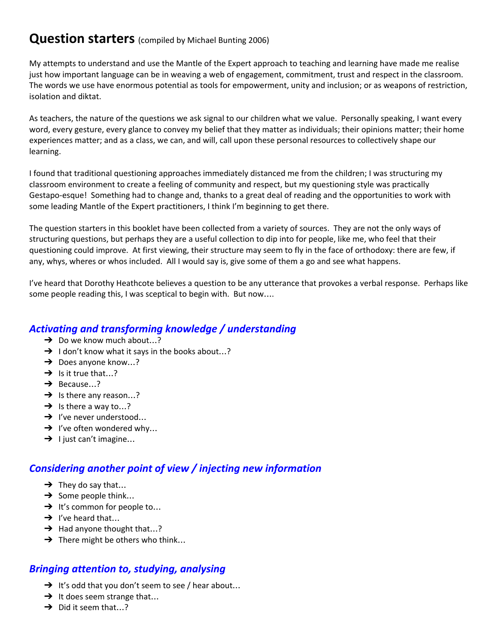# **Question starters** (compiled by Michael Bunting 2006)

My attempts to understand and use the Mantle of the Expert approach to teaching and learning have made me realise just how important language can be in weaving a web of engagement, commitment, trust and respect in the classroom. The words we use have enormous potential as tools for empowerment, unity and inclusion; or as weapons of restriction, isolation and diktat.

As teachers, the nature of the questions we ask signal to our children what we value. Personally speaking, I want every word, every gesture, every glance to convey my belief that they matter as individuals; their opinions matter; their home experiences matter; and as a class, we can, and will, call upon these personal resources to collectively shape our learning.

I found that traditional questioning approaches immediately distanced me from the children; I was structuring my classroom environment to create a feeling of community and respect, but my questioning style was practically Gestapo-esque! Something had to change and, thanks to a great deal of reading and the opportunities to work with some leading Mantle of the Expert practitioners, I think I'm beginning to get there.

The question starters in this booklet have been collected from a variety of sources. They are not the only ways of structuring questions, but perhaps they are a useful collection to dip into for people, like me, who feel that their questioning could improve. At first viewing, their structure may seem to fly in the face of orthodoxy: there are few, if any, whys, wheres or whos included. All I would say is, give some of them a go and see what happens.

I've heard that Dorothy Heathcote believes a question to be any utterance that provokes a verbal response. Perhaps like some people reading this, I was sceptical to begin with. But now….

# *Activating and transforming knowledge / understanding*

- → Do we know much about...?
- $\rightarrow$  I don't know what it says in the books about...?
- → Does anyone know...?
- $\rightarrow$  Is it true that...?
- ➔ Because…?
- $\rightarrow$  Is there any reason...?
- $\rightarrow$  Is there a way to...?
- $\rightarrow$  I've never understood...
- $\rightarrow$  I've often wondered why...
- $\rightarrow$  I just can't imagine...

# *Considering another point of view / injecting new information*

- $\rightarrow$  They do say that...
- $\rightarrow$  Some people think...
- $\rightarrow$  It's common for people to...
- $\rightarrow$  I've heard that...
- $\rightarrow$  Had anyone thought that...?
- $\rightarrow$  There might be others who think...

#### *Bringing attention to, studying, analysing*

- → It's odd that you don't seem to see / hear about...
- $\rightarrow$  It does seem strange that...
- $\rightarrow$  Did it seem that...?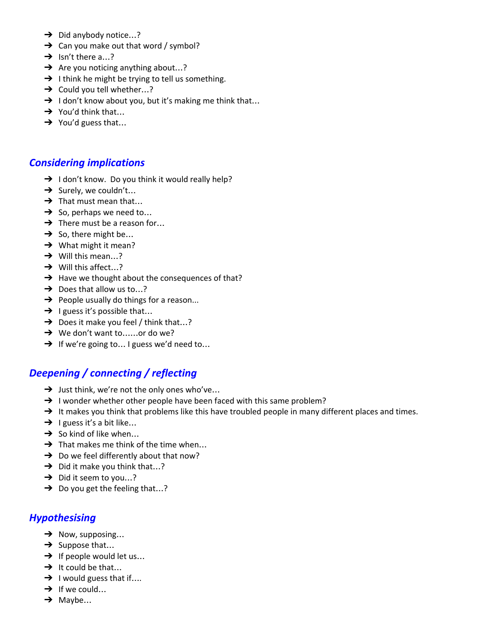- → Did anybody notice...?
- $\rightarrow$  Can you make out that word / symbol?
- $\rightarrow$  Isn't there a...?
- $\rightarrow$  Are you noticing anything about...?
- $\rightarrow$  I think he might be trying to tell us something.
- → Could you tell whether...?
- → I don't know about you, but it's making me think that...
- $\rightarrow$  You'd think that...
- $\rightarrow$  You'd guess that...

#### *Considering implications*

- $\rightarrow$  I don't know. Do you think it would really help?
- $\rightarrow$  Surely, we couldn't...
- $\rightarrow$  That must mean that...
- $\rightarrow$  So, perhaps we need to...
- $\rightarrow$  There must be a reason for...
- $\rightarrow$  So, there might be...
- **→** What might it mean?
- $\rightarrow$  Will this mean...?
- → Will this affect...?
- $\rightarrow$  Have we thought about the consequences of that?
- → Does that allow us to...?
- $\rightarrow$  People usually do things for a reason...
- $\rightarrow$  I guess it's possible that...
- → Does it make you feel / think that...?
- ➔ We don't want to……or do we?
- $\rightarrow$  If we're going to... I guess we'd need to...

# *Deepening / connecting / reflecting*

- $\rightarrow$  Just think, we're not the only ones who've...
- → I wonder whether other people have been faced with this same problem?
- → It makes you think that problems like this have troubled people in many different places and times.
- $\rightarrow$  I guess it's a bit like...
- $\rightarrow$  So kind of like when...
- $\rightarrow$  That makes me think of the time when...
- $\rightarrow$  Do we feel differently about that now?
- $\rightarrow$  Did it make you think that...?
- → Did it seem to you...?
- $\rightarrow$  Do you get the feeling that...?

#### *Hypothesising*

- $\rightarrow$  Now, supposing...
- $\rightarrow$  Suppose that...
- $\rightarrow$  If people would let us...
- $\rightarrow$  It could be that...
- $\rightarrow$  I would guess that if....
- $\rightarrow$  If we could...
- $\rightarrow$  Maybe...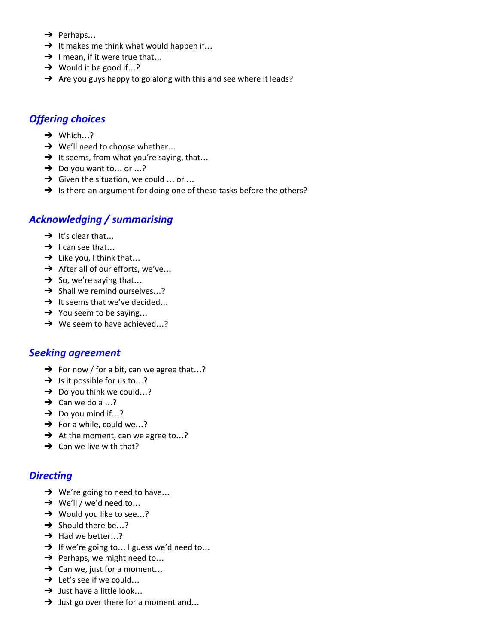- ➔ Perhaps…
- $\rightarrow$  It makes me think what would happen if...
- $\rightarrow$  I mean, if it were true that...
- $\rightarrow$  Would it be good if...?
- → Are you guys happy to go along with this and see where it leads?

#### *Offering choices*

- $\rightarrow$  Which...?
- → We'll need to choose whether...
- $\rightarrow$  It seems, from what you're saying, that...
- $\rightarrow$  Do you want to... or ...?
- $\rightarrow$  Given the situation, we could ... or ...
- → Is there an argument for doing one of these tasks before the others?

### *Acknowledging / summarising*

- $\rightarrow$  It's clear that...
- $\rightarrow$  I can see that...
- $\rightarrow$  Like you, I think that...
- $\rightarrow$  After all of our efforts, we've...
- $\rightarrow$  So, we're saying that...
- **→** Shall we remind ourselves...?
- $\rightarrow$  It seems that we've decided...
- $\rightarrow$  You seem to be saying...
- $\rightarrow$  We seem to have achieved...?

#### *Seeking agreement*

- $\rightarrow$  For now / for a bit, can we agree that...?
- $\rightarrow$  Is it possible for us to...?
- $\rightarrow$  Do you think we could...?
- $\rightarrow$  Can we do a ...?
- $\rightarrow$  Do you mind if...?
- $\rightarrow$  For a while, could we...?
- $\rightarrow$  At the moment, can we agree to...?
- $\rightarrow$  Can we live with that?

#### *Directing*

- $\rightarrow$  We're going to need to have...
- $\rightarrow$  We'll / we'd need to...
- → Would you like to see...?
- $\rightarrow$  Should there be...?
- $\rightarrow$  Had we better...?
- $\rightarrow$  If we're going to... I guess we'd need to...
- $\rightarrow$  Perhaps, we might need to...
- $\rightarrow$  Can we, just for a moment...
- $\rightarrow$  Let's see if we could...
- $\rightarrow$  Just have a little look...
- $\rightarrow$  Just go over there for a moment and...